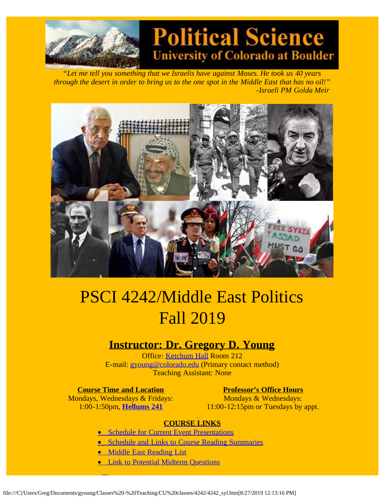

# **Political Science University of Colorado at Boulder**

*"Let me tell you something that we Israelis have against Moses. He took us 40 years through the desert in order to bring us to the one spot in the Middle East that has no oil!" -Israeli PM Golda Meir*



# PSCI 4242/Middle East Politics Fall 2019

# **Instructor: Dr. Gregory D. Young**

Office: [Ketchum Hall](http://www.colorado.edu/directories/webmap) Room 212 E-mail: [gyoung@colorado.edu](mailto:gyoung@colorado.edu) (Primary contact method) Teaching Assistant: None

#### **Course Time and Location Professor's Office Hours**

L

Mondays & Wednesdays: 11:00-12:15pm or Tuesdays by appt.

# Mondays, Wednesdays & Fridays: 1:00-1:50pm, **[Hellums 241](http://www.colorado.edu/directories/webmap)**

# **COURSE LINKS**

- **[Schedule for Current Event Presentations](file:///C|/Users/Greg/Documents/gyoung/Classes%20-%20Teaching/CU%20classes/4242/4242CEsked.htm)**
- · [Schedule and Links to Course Reading Summaries](file:///C|/Users/Greg/Documents/gyoung/Classes%20-%20Teaching/CU%20classes/4242/4242RSsked.htm)
- · [Middle East Reading List](file:///C|/Users/Greg/Documents/gyoung/Classes%20-%20Teaching/CU%20classes/4242/4242%20reading%20list.htm)
- **[Link to Potential Midterm Questions](file:///C|/Users/Greg/Documents/gyoung/Classes%20-%20Teaching/CU%20classes/4242/4242midques.htm)**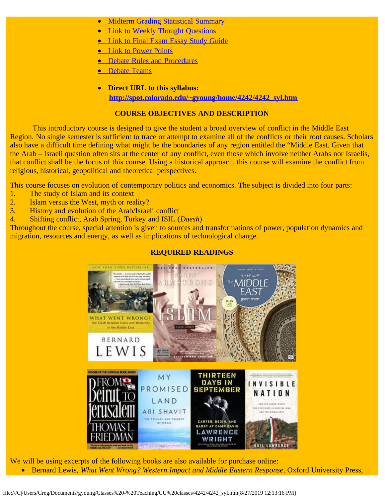- **[Midterm Grading Statistical Summary](file:///C|/Users/Greg/Documents/gyoung/Classes%20-%20Teaching/CU%20classes/4242/4242midscore.htm)**
- **[Link to Weekly Thought Questions](file:///C|/Users/Greg/Documents/gyoung/Classes%20-%20Teaching/CU%20classes/4242/4242thtques.htm)**
- **[Link to Final Exam Essay Study Guide](file:///C|/Users/Greg/Documents/gyoung/Classes%20-%20Teaching/CU%20classes/4242/4242finterms.htm)**
- [Link to Power Points](file:///C|/Users/Greg/Documents/gyoung/Classes%20-%20Teaching/CU%20classes/4242/4242ppt.htm)
- · [Debate Rules and Procedures](file:///C|/Users/Greg/Documents/gyoung/Classes%20-%20Teaching/CU%20classes/4242/4242debaterules.htm)
- · [Debate Teams](file:///C|/Users/Greg/Documents/gyoung/Classes%20-%20Teaching/CU%20classes/4242/debateteams.htm)
- · **Direct URL to this syllabus: [http://spot.colorado.edu/~gyoung/home/4242/4242\\_syl.htm](http://spot.colorado.edu/~gyoung/home/4242/4242_syl.htm)**

#### **COURSE OBJECTIVES AND DESCRIPTION**

This introductory course is designed to give the student a broad overview of conflict in the Middle East Region. No single semester is sufficient to trace or attempt to examine all of the conflicts or their root causes. Scholars also have a difficult time defining what might be the boundaries of any region entitled the "Middle East. Given that the Arab – Israeli question often sits at the center of any conflict, even those which involve neither Arabs nor Israelis, that conflict shall be the focus of this course. Using a historical approach, this course will examine the conflict from religious, historical, geopolitical and theoretical perspectives.

This course focuses on evolution of contemporary politics and economics. The subject is divided into four parts:

- 1. The study of Islam and its context
- 2. Islam versus the West, myth or reality?
- 3. History and evolution of the Arab/Israeli conflict
- 4. Shifting conflict, Arab Spring, Turkey and ISIL (*Daesh*)

Throughout the course, special attention is given to sources and transformations of power, population dynamics and migration, resources and energy, as well as implications of technological change.

### **REQUIRED READINGS**



We will be using excerpts of the following books are also available for purchase online: · Bernard Lewis, *What Went Wrong? Western Impact and Middle Eastern Response*. Oxford University Press,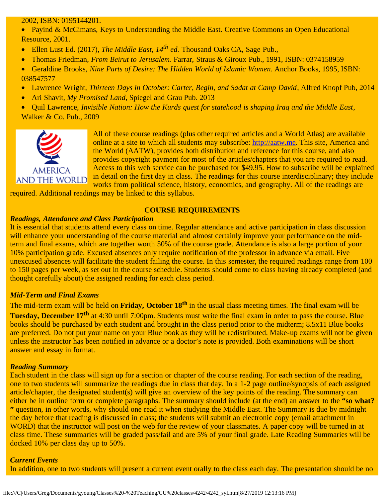#### 2002, ISBN: 0195144201.

• Payind & McCimans, Keys to Understanding the Middle East. Creative Commons an Open Educational Resource, 2001.

- · Ellen Lust Ed. (2017), *The Middle East, 14th ed*. Thousand Oaks CA, Sage Pub.,
- · Thomas Friedman, *From Beirut to Jerusalem*. Farrar, Straus & Giroux Pub., 1991, ISBN: 0374158959
- · Geraldine Brooks, *Nine Parts of Desire: The Hidden World of Islamic Women*. Anchor Books, 1995, ISBN: 038547577
- · Lawrence Wright, *Thirteen Days in October: Carter, Begin, and Sadat at Camp David*, Alfred Knopf Pub, 2014
- Ari Shavit, *My Promised Land*, Spiegel and Grau Pub. 2013
- · Quil Lawrence, *Invisible Nation: How the Kurds quest for statehood is shaping Iraq and the Middle East*, Walker & Co. Pub., 2009



All of these course readings (plus other required articles and a World Atlas) are available online at a site to which all students may subscribe: [http://aatw.me.](http://aatw.me/) This site, America and the World (AATW), provides both distribution and reference for this course, and also provides copyright payment for most of the articles/chapters that you are required to read. Access to this web service can be purchased for \$49.95. How to subscribe will be explained in detail on the first day in class. The readings for this course interdisciplinary; they include works from political science, history, economics, and geography. All of the readings are

required. Additional readings may be linked to this syllabus.

#### **COURSE REQUIREMENTS**

#### *Readings, Attendance and Class Participation*

It is essential that students attend every class on time. Regular attendance and active participation in class discussion will enhance your understanding of the course material and almost certainly improve your performance on the midterm and final exams, which are together worth 50% of the course grade. Attendance is also a large portion of your 10% participation grade. Excused absences only require notification of the professor in advance via email. Five unexcused absences will facilitate the student failing the course. In this semester, the required readings range from 100 to 150 pages per week, as set out in the course schedule. Students should come to class having already completed (and thought carefully about) the assigned reading for each class period.

#### *Mid-Term and Final Exams*

The mid-term exam will be held on **Friday, October 18th** in the usual class meeting times. The final exam will be **Tuesday, December 17<sup>th</sup>** at 4:30 until 7:00pm. Students must write the final exam in order to pass the course. Blue books should be purchased by each student and brought in the class period prior to the midterm; 8.5x11 Blue books are preferred. Do not put your name on your Blue book as they will be redistributed. Make-up exams will not be given unless the instructor has been notified in advance or a doctor's note is provided. Both examinations will be short answer and essay in format.

#### *Reading Summary*

Each student in the class will sign up for a section or chapter of the course reading. For each section of the reading, one to two students will summarize the readings due in class that day. In a 1-2 page outline/synopsis of each assigned article/chapter, the designated student(s) will give an overview of the key points of the reading. The summary can either be in outline form or complete paragraphs. The summary should include (at the end) an answer to the **"so what? "** question, in other words, why should one read it when studying the Middle East. The Summary is due by midnight the day before that reading is discussed in class; the students will submit an electronic copy (email attachment in WORD) that the instructor will post on the web for the review of your classmates. A paper copy will be turned in at class time. These summaries will be graded pass/fail and are 5% of your final grade. Late Reading Summaries will be docked 10% per class day up to 50%.

#### *Current Events*

In addition, one to two students will present a current event orally to the class each day. The presentation should be no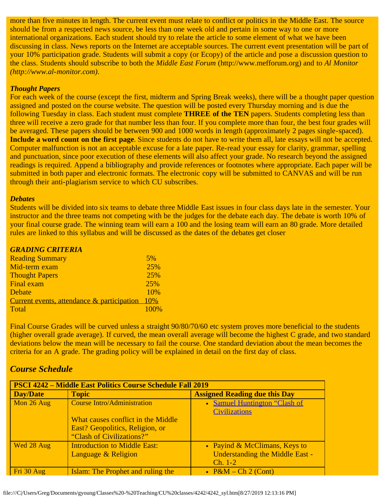more than five minutes in length. The current event must relate to conflict or politics in the Middle East. The source should be from a respected news source, be less than one week old and pertain in some way to one or more international organizations. Each student should try to relate the article to some element of what we have been discussing in class. News reports on the Internet are acceptable sources. The current event presentation will be part of your 10% participation grade. Students will submit a copy (or Ecopy) of the article and pose a discussion question to the class. Students should subscribe to both the *Middle East Forum* (http://www.mefforum.org) and to *Al Monitor (http://www.al-monitor.com).*

#### *Thought Papers*

For each week of the course (except the first, midterm and Spring Break weeks), there will be a thought paper question assigned and posted on the course website. The question will be posted every Thursday morning and is due the following Tuesday in class. Each student must complete **THREE of the TEN** papers. Students completing less than three will receive a zero grade for that number less than four. If you complete more than four, the best four grades will be averaged. These papers should be between 900 and 1000 words in length (approximately 2 pages single-spaced). **Include a word count on the first page**. Since students do not have to write them all, late essays will not be accepted. Computer malfunction is not an acceptable excuse for a late paper. Re-read your essay for clarity, grammar, spelling and punctuation, since poor execution of these elements will also affect your grade. No research beyond the assigned readings is required. Append a bibliography and provide references or footnotes where appropriate. Each paper will be submitted in both paper and electronic formats. The electronic copy will be submitted to CANVAS and will be run through their anti-plagiarism service to which CU subscribes.

#### *Debates*

Students will be divided into six teams to debate three Middle East issues in four class days late in the semester. Your instructor and the three teams not competing with be the judges for the debate each day. The debate is worth 10% of your final course grade. The winning team will earn a 100 and the losing team will earn an 80 grade. More detailed rules are linked to this syllabus and will be discussed as the dates of the debates get closer

| <b>GRADING CRITERIA</b>                    |      |
|--------------------------------------------|------|
| <b>Reading Summary</b>                     | 5%   |
| Mid-term exam                              | 25%  |
| <b>Thought Papers</b>                      | 25%  |
| <b>Final exam</b>                          | 25%  |
| Debate                                     | 10%  |
| Current events, attendance & participation | 10%  |
| Total                                      | 100% |
|                                            |      |

Final Course Grades will be curved unless a straight  $90/80/70/60$  etc system proves more beneficial to the students (higher overall grade average). If curved, the mean overall average will become the highest C grade, and two standard deviations below the mean will be necessary to fail the course. One standard deviation about the mean becomes the criteria for an A grade. The grading policy will be explained in detail on the first day of class.

# *Course Schedule*

| <b>PSCI 4242 – Middle East Politics Course Schedule Fall 2019</b> |                                     |                                        |
|-------------------------------------------------------------------|-------------------------------------|----------------------------------------|
| <b>Day/Date</b>                                                   | <b>Topic</b>                        | <b>Assigned Reading due this Day</b>   |
| Mon 26 Aug                                                        | <b>Course Intro/Administration</b>  | • Samuel Huntington "Clash of          |
|                                                                   |                                     | <b>Civilizations</b>                   |
|                                                                   | What causes conflict in the Middle  |                                        |
|                                                                   | East? Geopolitics, Religion, or     |                                        |
|                                                                   | "Clash of Civilizations?"           |                                        |
| Wed 28 Aug                                                        | <b>Introduction to Middle East:</b> | • Payind & McClimans, Keys to          |
|                                                                   | Language & Religion                 | <b>Understanding the Middle East -</b> |
|                                                                   |                                     | $Ch. 1-2$                              |
| Fri 30 Aug                                                        | Islam: The Prophet and ruling the   | • $P\&M - Ch 2 (Cont)$                 |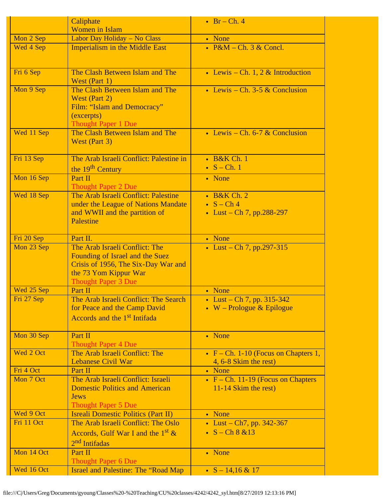|            | Caliphate                                                         | $\cdot$ Br – Ch. 4                     |
|------------|-------------------------------------------------------------------|----------------------------------------|
|            | <b>Women</b> in Islam                                             |                                        |
| Mon 2 Sep  | Labor Day Holiday - No Class                                      | • None                                 |
| Wed 4 Sep  | <b>Imperialism in the Middle East</b>                             | • $P\&M$ – Ch. 3 $\&$ Concl.           |
|            |                                                                   |                                        |
|            |                                                                   |                                        |
| Fri 6 Sep  | The Clash Between Islam and The                                   | • Lewis – Ch. 1, 2 & Introduction      |
|            | West (Part 1)                                                     |                                        |
| Mon 9 Sep  | The Clash Between Islam and The                                   | • Lewis – Ch. 3-5 & Conclusion         |
|            | West (Part 2)                                                     |                                        |
|            | Film: "Islam and Democracy"                                       |                                        |
|            | (excerpts)                                                        |                                        |
|            | <b>Thought Paper 1 Due</b>                                        |                                        |
| Wed 11 Sep | The Clash Between Islam and The                                   | • Lewis – Ch. $6-7 &$ Conclusion       |
|            | West (Part 3)                                                     |                                        |
| Fri 13 Sep | The Arab Israeli Conflict: Palestine in                           | • B&K Ch. 1                            |
|            |                                                                   | $\bullet$ S – Ch. 1                    |
|            | the 19 <sup>th</sup> Century                                      |                                        |
| Mon 16 Sep | Part II<br><b>Thought Paper 2 Due</b>                             | • None                                 |
| Wed 18 Sep | The Arab Israeli Conflict: Palestine                              | $\cdot$ B&K Ch. 2                      |
|            | under the League of Nations Mandate                               | $\bullet$ S – Ch 4                     |
|            | and WWII and the partition of                                     | • Lust – Ch 7, pp.288-297              |
|            | <b>Palestine</b>                                                  |                                        |
|            |                                                                   |                                        |
| Fri 20 Sep | Part II.                                                          | • None                                 |
| Mon 23 Sep | The Arab Israeli Conflict: The                                    | • Lust – Ch 7, pp.297-315              |
|            | Founding of Israel and the Suez                                   |                                        |
|            | Crisis of 1956, The Six-Day War and                               |                                        |
|            | the 73 Yom Kippur War                                             |                                        |
|            | <b>Thought Paper 3 Due</b>                                        |                                        |
| Wed 25 Sep | Part II                                                           | • None                                 |
| Fri 27 Sep | The Arab Israeli Conflict: The Search                             | • Lust – Ch 7, pp. $315-342$           |
|            | for Peace and the Camp David                                      | • W – Prologue $&$ Epilogue            |
|            | Accords and the 1 <sup>st</sup> Intifada                          |                                        |
|            |                                                                   |                                        |
| Mon 30 Sep | Part II                                                           | • None                                 |
|            | <b>Thought Paper 4 Due</b>                                        |                                        |
| Wed 2 Oct  | The Arab Israeli Conflict: The                                    | • $F - Ch. 1-10$ (Focus on Chapters 1, |
|            | <b>Lebanese Civil War</b>                                         | $4, 6 - 8$ Skim the rest)              |
| Fri 4 Oct  | Part II                                                           | • None                                 |
| Mon 7 Oct  | The Arab Israeli Conflict: Israeli                                | • $F - Ch.$ 11-19 (Focus on Chapters   |
|            | <b>Domestic Politics and American</b>                             | 11-14 Skim the rest)                   |
|            |                                                                   |                                        |
|            | <b>Jews</b>                                                       |                                        |
|            | <b>Thought Paper 5 Due</b>                                        |                                        |
| Wed 9 Oct  | <b>Isreali Domestic Politics (Part II)</b>                        | • None                                 |
| Fri 11 Oct | The Arab Israeli Conflict: The Oslo                               | • Lust – Ch7, pp. $342-367$            |
|            | Accords, Gulf War I and the $1st$ &                               | • $S - Ch 8 & 13$                      |
|            | 2 <sup>nd</sup> Intifadas                                         |                                        |
| Mon 14 Oct | Part II                                                           | • None                                 |
| Wed 16 Oct | <b>Thought Paper 6 Due</b><br>Israel and Palestine: The "Road Map | • $S - 14,16 & 17$                     |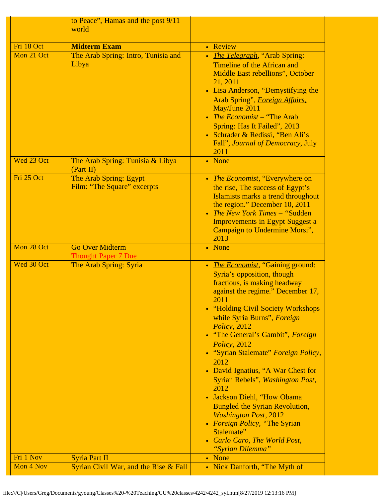|                        | to Peace", Hamas and the post 9/11<br>world           |                                                                                                                                                                                                                                                                                                                                                                                                                                                                                                                                                                                                                                       |
|------------------------|-------------------------------------------------------|---------------------------------------------------------------------------------------------------------------------------------------------------------------------------------------------------------------------------------------------------------------------------------------------------------------------------------------------------------------------------------------------------------------------------------------------------------------------------------------------------------------------------------------------------------------------------------------------------------------------------------------|
| Fri 18 Oct             | <b>Midterm Exam</b>                                   | • Review                                                                                                                                                                                                                                                                                                                                                                                                                                                                                                                                                                                                                              |
| Mon 21 Oct             | The Arab Spring: Intro, Tunisia and<br>Libya          | • <i>The Telegraph</i> , "Arab Spring:<br>Timeline of the African and<br>Middle East rebellions", October<br>21, 2011<br>• Lisa Anderson, "Demystifying the<br>Arab Spring", <i>Foreign Affairs</i> ,<br>May/June 2011<br>• The Economist – "The Arab<br>Spring: Has It Failed", 2013<br>• Schrader & Redissi, "Ben Ali's<br>Fall", Journal of Democracy, July<br>2011                                                                                                                                                                                                                                                                |
| Wed 23 Oct             | The Arab Spring: Tunisia & Libya<br>(Part II)         | • None                                                                                                                                                                                                                                                                                                                                                                                                                                                                                                                                                                                                                                |
| Fri 25 Oct             | The Arab Spring: Egypt<br>Film: "The Square" excerpts | • <i>The Economist</i> , "Everywhere on<br>the rise, The success of Egypt's<br>Islamists marks a trend throughout<br>the region." December 10, 2011<br>• The New York Times - "Sudden"<br><b>Improvements in Egypt Suggest a</b><br>Campaign to Undermine Morsi",<br>2013                                                                                                                                                                                                                                                                                                                                                             |
| Mon 28 Oct             | <b>Go Over Midterm</b><br><b>Thought Paper 7 Due</b>  | • None                                                                                                                                                                                                                                                                                                                                                                                                                                                                                                                                                                                                                                |
| Wed 30 Oct             | The Arab Spring: Syria                                | • The Economist, "Gaining ground:<br>Syria's opposition, though<br>fractious, is making headway<br>against the regime." December 17,<br>2011<br>• "Holding Civil Society Workshops"<br>while Syria Burns", Foreign<br>Policy, 2012<br>• "The General's Gambit", Foreign<br>Policy, 2012<br>• "Syrian Stalemate" Foreign Policy,<br>2012<br>• David Ignatius, "A War Chest for<br>Syrian Rebels", Washington Post,<br>2012<br>• Jackson Diehl, "How Obama<br><b>Bungled the Syrian Revolution,</b><br><b>Washington Post, 2012</b><br>• Foreign Policy, "The Syrian<br>Stalemate"<br>• Carlo Caro, The World Post,<br>"Syrian Dilemma" |
| Fri 1 Nov<br>Mon 4 Nov | <b>Syria Part II</b>                                  | • None                                                                                                                                                                                                                                                                                                                                                                                                                                                                                                                                                                                                                                |
|                        | Syrian Civil War, and the Rise & Fall                 | • Nick Danforth, "The Myth of                                                                                                                                                                                                                                                                                                                                                                                                                                                                                                                                                                                                         |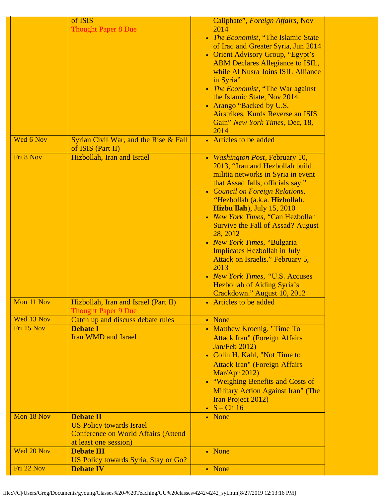|            | of ISIS<br><b>Thought Paper 8 Due</b>                               | Caliphate", Foreign Affairs, Nov<br>2014<br>• The Economist, "The Islamic State<br>of Iraq and Greater Syria, Jun 2014<br>• Orient Advisory Group, "Egypt's<br><b>ABM Declares Allegiance to ISIL,</b><br>while Al Nusra Joins ISIL Alliance<br>in Syria"<br>• The Economist, "The War against<br>the Islamic State, Nov 2014.<br>• Arango "Backed by U.S.<br>Airstrikes, Kurds Reverse an ISIS<br>Gain" New York Times, Dec, 18,<br>2014                                                                                                                              |
|------------|---------------------------------------------------------------------|------------------------------------------------------------------------------------------------------------------------------------------------------------------------------------------------------------------------------------------------------------------------------------------------------------------------------------------------------------------------------------------------------------------------------------------------------------------------------------------------------------------------------------------------------------------------|
| Wed 6 Nov  | Syrian Civil War, and the Rise & Fall<br>of ISIS (Part II)          | • Articles to be added                                                                                                                                                                                                                                                                                                                                                                                                                                                                                                                                                 |
| Fri 8 Nov  | Hizbollah, Iran and Israel                                          | • Washington Post, February 10,<br>2013, "Iran and Hezbollah build<br>militia networks in Syria in event<br>that Assad falls, officials say."<br>• Council on Foreign Relations,<br>"Hezbollah (a.k.a. Hizbollah,<br><b>Hizbu'llah</b> ), July 15, 2010<br>• New York Times, "Can Hezbollah<br><b>Survive the Fall of Assad? August</b><br>28, 2012<br>• New York Times, "Bulgaria<br><b>Implicates Hezbollah in July</b><br>Attack on Israelis." February 5,<br>2013<br>• New York Times, "U.S. Accuses<br>Hezbollah of Aiding Syria's<br>Crackdown." August 10, 2012 |
| Mon 11 Nov | Hizbollah, Iran and Israel (Part II)<br><b>Thought Paper 9 Due</b>  | • Articles to be added                                                                                                                                                                                                                                                                                                                                                                                                                                                                                                                                                 |
| Wed 13 Nov | Catch up and discuss debate rules                                   | • None                                                                                                                                                                                                                                                                                                                                                                                                                                                                                                                                                                 |
| Fri 15 Nov | <b>Debate I</b><br><b>Iran WMD and Israel</b>                       | • Matthew Kroenig, "Time To<br><b>Attack Iran" (Foreign Affairs</b><br>Jan/Feb 2012)<br>• Colin H. Kahl, "Not Time to<br><b>Attack Iran"</b> (Foreign Affairs<br>Mar/Apr 2012)<br>• "Weighing Benefits and Costs of<br><b>Military Action Against Iran" (The</b><br>Iran Project 2012)<br>$\bullet$ S - Ch 16                                                                                                                                                                                                                                                          |
| Mon 18 Nov | <b>Debate II</b><br><b>US Policy towards Israel</b>                 | • None                                                                                                                                                                                                                                                                                                                                                                                                                                                                                                                                                                 |
|            | <b>Conference on World Affairs (Attend</b><br>at least one session) |                                                                                                                                                                                                                                                                                                                                                                                                                                                                                                                                                                        |
| Wed 20 Nov | <b>Debate III</b><br>US Policy towards Syria, Stay or Go?           | • None                                                                                                                                                                                                                                                                                                                                                                                                                                                                                                                                                                 |
| Fri 22 Nov | <b>Debate IV</b>                                                    | • None                                                                                                                                                                                                                                                                                                                                                                                                                                                                                                                                                                 |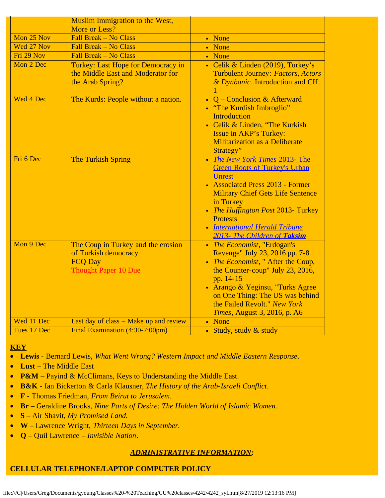|             | <b>Muslim Immigration to the West,</b><br>More or Less?                                                     |                                                                                                                                                                                                                                                                                                                 |
|-------------|-------------------------------------------------------------------------------------------------------------|-----------------------------------------------------------------------------------------------------------------------------------------------------------------------------------------------------------------------------------------------------------------------------------------------------------------|
| Mon 25 Nov  | Fall Break - No Class                                                                                       | • None                                                                                                                                                                                                                                                                                                          |
| Wed 27 Nov  | Fall Break - No Class                                                                                       | • None                                                                                                                                                                                                                                                                                                          |
| Fri 29 Nov  | Fall Break - No Class                                                                                       | • None                                                                                                                                                                                                                                                                                                          |
| Mon 2 Dec   | Turkey: Last Hope for Democracy in<br>the Middle East and Moderator for<br>the Arab Spring?                 | • Celik & Linden (2019), Turkey's<br>Turbulent Journey: Factors, Actors<br>& Dynbanic. Introduction and CH.                                                                                                                                                                                                     |
| Wed 4 Dec   | The Kurds: People without a nation.                                                                         | • Q – Conclusion & Afterward<br>• "The Kurdish Imbroglio"<br><b>Introduction</b><br>• Celik & Linden, "The Kurkish<br>Issue in AKP's Turkey:<br><b>Militarization as a Deliberate</b><br>Strategy"                                                                                                              |
| Fri 6 Dec   | The Turkish Spring                                                                                          | • The New York Times 2013- The<br><b>Green Roots of Turkey's Urban</b><br><b>Unrest</b><br>• Associated Press 2013 - Former<br><b>Military Chief Gets Life Sentence</b><br>in Turkey<br>• The Huffington Post 2013- Turkey<br><b>Protests</b><br>• International Herald Tribune<br>2013- The Children of Taksim |
| Mon 9 Dec   | The Coup in Turkey and the erosion<br>of Turkish democracy<br><b>FCQ Day</b><br><b>Thought Paper 10 Due</b> | • The Economist, "Erdogan's<br>Revenge" July 23, 2016 pp. 7-8<br>• The Economist," After the Coup,<br>the Counter-coup" July 23, 2016,<br>pp. 14-15<br>• Arango & Yeginsu, "Turks Agree<br>on One Thing: The US was behind<br>the Failed Revolt." New York<br>Times, August 3, 2016, p. A6                      |
| Wed 11 Dec  | Last day of class – Make up and review                                                                      | • None                                                                                                                                                                                                                                                                                                          |
| Tues 17 Dec | Final Examination (4:30-7:00pm)                                                                             | • Study, study & study                                                                                                                                                                                                                                                                                          |

### **KEY**

- · **Lewis** Bernard Lewis, *What Went Wrong? Western Impact and Middle Eastern Response*.
- · **Lust** The Middle East
- **P&M** Payind & McClimans, Keys to Understanding the Middle East.
- · **B&K** Ian Bickerton & Carla Klausner, *The History of the Arab-Israeli Conflict*.
- · **F** Thomas Friedman, *From Beirut to Jerusalem*.
- · **Br**  Geraldine Brooks*, Nine Parts of Desire: The Hidden World of Islamic Women.*
- · **S**  Air Shavit, *My Promised Land.*
- · **W**  Lawrence Wright, *Thirteen Days in September.*
- · **Q**  Quil Lawrence *Invisible Nation*.

# *ADMINISTRATIVE INFORMATION:*

# **CELLULAR TELEPHONE/LAPTOP COMPUTER POLICY**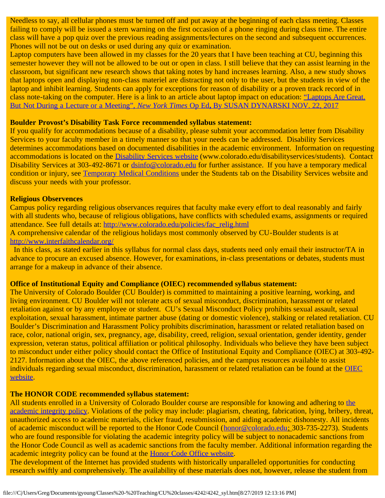Needless to say, all cellular phones must be turned off and put away at the beginning of each class meeting. Classes failing to comply will be issued a stern warning on the first occasion of a phone ringing during class time. The entire class will have a pop quiz over the previous reading assignments/lectures on the second and subsequent occurrences. Phones will not be out on desks or used during any quiz or examination.

Laptop computers have been allowed in my classes for the 20 years that I have been teaching at CU, beginning this semester however they will not be allowed to be out or open in class. I still believe that they can assist learning in the classroom, but significant new research shows that taking notes by hand increases learning. Also, a new study shows that laptops open and displaying non-class materiel are distracting not only to the user, but the students in view of the laptop and inhibit learning. Students can apply for exceptions for reason of disability or a proven track record of in class note-taking on the computer. Here is a link to an article about laptop impact on education: ["Laptops Are Great.](file:///C|/Users/Greg/AppData/Roaming/Microsoft/Word/dynarskioped.htm) [But Not During a Lecture or a Meeting",](file:///C|/Users/Greg/AppData/Roaming/Microsoft/Word/dynarskioped.htm) *[New York Times](file:///C|/Users/Greg/AppData/Roaming/Microsoft/Word/dynarskioped.htm)* [Op Ed](file:///C|/Users/Greg/AppData/Roaming/Microsoft/Word/dynarskioped.htm)**[,](file:///C|/Users/Greg/AppData/Roaming/Microsoft/Word/dynarskioped.htm)** [By SUSAN DYNARSKI NOV. 22, 2017](file:///C|/Users/Greg/AppData/Roaming/Microsoft/Word/dynarskioped.htm)

#### **Boulder Provost's Disability Task Force recommended syllabus statement:**

If you qualify for accommodations because of a disability, please submit your accommodation letter from Disability Services to your faculty member in a timely manner so that your needs can be addressed. Disability Services determines accommodations based on documented disabilities in the academic environment. Information on requesting accommodations is located on the [Disability Services website](http://www.colorado.edu/disabilityservices/students) (www.colorado.edu/disabilityservices/students). Contact Disability Services at 303-492-8671 or [dsinfo@colorado.edu](mailto:dsinfo@colorado.edu) for further assistance. If you have a temporary medical condition or injury, see [Temporary Medical Conditions](http://www.colorado.edu/disabilityservices/students/temporary-medical-conditions) under the Students tab on the Disability Services website and discuss your needs with your professor.

#### **Religious Observences**

Campus policy regarding religious observances requires that faculty make every effort to deal reasonably and fairly with all students who, because of religious obligations, have conflicts with scheduled exams, assignments or required attendance. See full details at: [http://www.colorado.edu/policies/fac\\_relig.html](https://culink.colorado.edu/wm/mail/fetch.html?urlid=g0a9ec54cc73e3531669be70a951dc2efdj9p5nljhl&url=http%3A%2F%2Fwww.colorado.edu%2Fpolicies%2Ffac_relig.html)

A comprehensive calendar of the religious holidays most commonly observed by CU-Boulder students is at [http://www.interfaithcalendar.org/](https://culink.colorado.edu/wm/mail/fetch.html?urlid=g0a9ec54cc73e3531669be70a951dc2efdj9p5nljhl&url=http%3A%2F%2Fwww.interfaithcalendar.org%2F)

In this class, as stated earlier in this syllabus for normal class days, students need only email their instructor/TA in advance to procure an excused absence. However, for examinations, in-class presentations or debates, students must arrange for a makeup in advance of their absence.

#### **Office of Institutional Equity and Compliance (OIEC) recommended syllabus statement:**

The University of Colorado Boulder (CU Boulder) is committed to maintaining a positive learning, working, and living environment. CU Boulder will not tolerate acts of sexual misconduct, discrimination, harassment or related retaliation against or by any employee or student. CU's Sexual Misconduct Policy prohibits sexual assault, sexual exploitation, sexual harassment, intimate partner abuse (dating or domestic violence), stalking or related retaliation. CU Boulder's Discrimination and Harassment Policy prohibits discrimination, harassment or related retaliation based on race, color, national origin, sex, pregnancy, age, disability, creed, religion, sexual orientation, gender identity, gender expression, veteran status, political affiliation or political philosophy. Individuals who believe they have been subject to misconduct under either policy should contact the Office of Institutional Equity and Compliance (OIEC) at 303-492- 2127. Information about the OIEC, the above referenced policies, and the campus resources available to assist individuals regarding sexual misconduct, discrimination, harassment or related retaliation can be found at the **[OIEC](http://www.colorado.edu/institutionalequity/)** [website.](http://www.colorado.edu/institutionalequity/)

#### **The HONOR CODE recommended syllabus statement:**

All students enrolled in a University of Colorado Boulder course are responsible for knowing and adhering to [the](http://www.colorado.edu/policies/academic-integrity-policy) [academic integrity policy](http://www.colorado.edu/policies/academic-integrity-policy). Violations of the policy may include: plagiarism, cheating, fabrication, lying, bribery, threat, unauthorized access to academic materials, clicker fraud, resubmission, and aiding academic dishonesty. All incidents of academic misconduct will be reported to the Honor Code Council ([honor@colorado.edu;](mailto:honor@colorado.edu) 303-735-2273). Students who are found responsible for violating the academic integrity policy will be subject to nonacademic sanctions from the Honor Code Council as well as academic sanctions from the faculty member. Additional information regarding the academic integrity policy can be found at the [Honor Code Office website.](http://www.colorado.edu/honorcode/)

The development of the Internet has provided students with historically unparalleled opportunities for conducting research swiftly and comprehensively. The availability of these materials does not, however, release the student from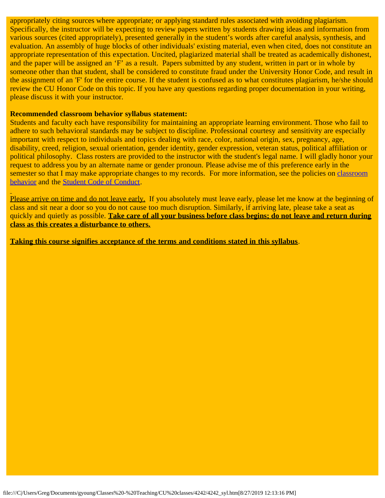appropriately citing sources where appropriate; or applying standard rules associated with avoiding plagiarism. Specifically, the instructor will be expecting to review papers written by students drawing ideas and information from various sources (cited appropriately), presented generally in the student's words after careful analysis, synthesis, and evaluation. An assembly of huge blocks of other individuals' existing material, even when cited, does not constitute an appropriate representation of this expectation. Uncited, plagiarized material shall be treated as academically dishonest, and the paper will be assigned an 'F' as a result. Papers submitted by any student, written in part or in whole by someone other than that student, shall be considered to constitute fraud under the University Honor Code, and result in the assignment of an 'F' for the entire course. If the student is confused as to what constitutes plagiarism, he/she should review the CU Honor Code on this topic. If you have any questions regarding proper documentation in your writing, please discuss it with your instructor.

#### **Recommended classroom behavior syllabus statement:**

Students and faculty each have responsibility for maintaining an appropriate learning environment. Those who fail to adhere to such behavioral standards may be subject to discipline. Professional courtesy and sensitivity are especially important with respect to individuals and topics dealing with race, color, national origin, sex, pregnancy, age, disability, creed, religion, sexual orientation, gender identity, gender expression, veteran status, political affiliation or political philosophy. Class rosters are provided to the instructor with the student's legal name. I will gladly honor your request to address you by an alternate name or gender pronoun. Please advise me of this preference early in the semester so that I may make appropriate changes to my records. For more information, see the policies on [classroom](http://www.colorado.edu/policies/student-classroom-and-course-related-behavior) [behavior](http://www.colorado.edu/policies/student-classroom-and-course-related-behavior) and the [Student Code of Conduct](http://www.colorado.edu/osccr/).

Please arrive on time and do not leave early. If you absolutely must leave early, please let me know at the beginning of class and sit near a door so you do not cause too much disruption. Similarly, if arriving late, please take a seat as quickly and quietly as possible. **Take care of all your business before class begins; do not leave and return during class as this creates a disturbance to others.**

**Taking this course signifies acceptance of the terms and conditions stated in this syllabus**.